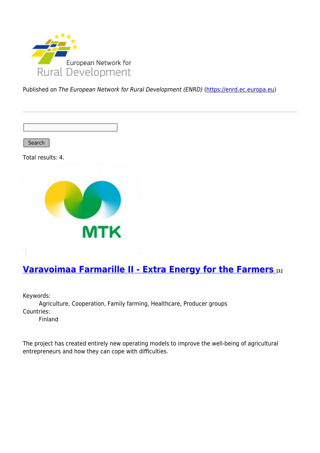

Published on The European Network for Rural Development (ENRD) [\(https://enrd.ec.europa.eu](https://enrd.ec.europa.eu))

Search

Total results: 4.



## **[Varavoimaa Farmarille II - Extra Energy for the Farmers](https://enrd.ec.europa.eu/projects-practice/varavoimaa-farmarille-ii-extra-energy-farmers_en) [1]**

Keywords: Agriculture, Cooperation, Family farming, Healthcare, Producer groups Countries: Finland

The project has created entirely new operating models to improve the well-being of agricultural entrepreneurs and how they can cope with difficulties.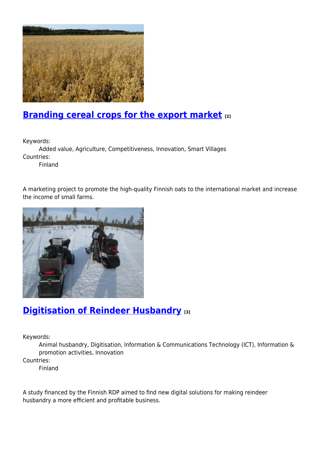

## **[Branding cereal crops for the export market](https://enrd.ec.europa.eu/projects-practice/branding-cereal-crops-export-market_en) [2]**

Keywords:

Added value, Agriculture, Competitiveness, Innovation, Smart Villages Countries:

Finland

A marketing project to promote the high-quality Finnish oats to the international market and increase the income of small farms.



## **[Digitisation of Reindeer Husbandry](https://enrd.ec.europa.eu/projects-practice/digitalisation-reindeer-husbandry_en) [3]**

Keywords:

Animal husbandry, Digitisation, Information & Communications Technology (ICT), Information & promotion activities, Innovation

Countries:

Finland

A study financed by the Finnish RDP aimed to find new digital solutions for making reindeer husbandry a more efficient and profitable business.